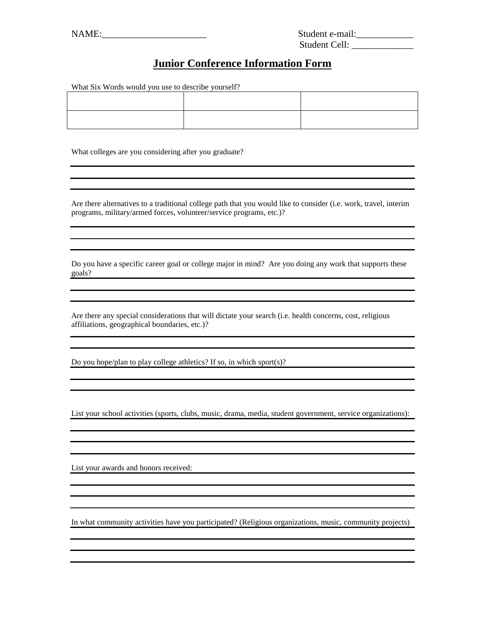| Student e-mail: |  |
|-----------------|--|
| Student Cell:   |  |

## **Junior Conference Information Form**

What Six Words would you use to describe yourself?

What colleges are you considering after you graduate?

Are there alternatives to a traditional college path that you would like to consider (i.e. work, travel, interim programs, military/armed forces, volunteer/service programs, etc.)?

Do you have a specific career goal or college major in mind? Are you doing any work that supports these goals?

Are there any special considerations that will dictate your search (i.e. health concerns, cost, religious affiliations, geographical boundaries, etc.)?

Do you hope/plan to play college athletics? If so, in which sport(s)?

List your school activities (sports, clubs, music, drama, media, student government, service organizations):

List your awards and honors received:

In what community activities have you participated? (Religious organizations, music, community projects)